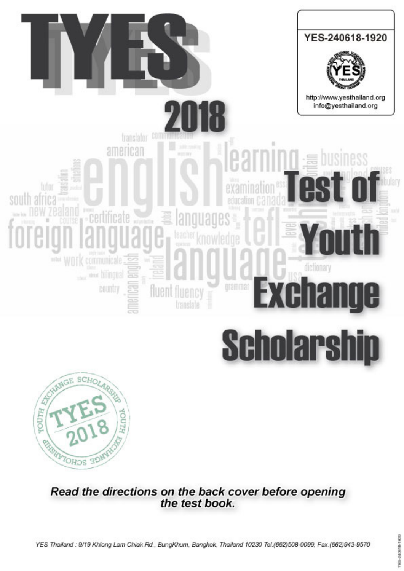



Read the directions on the back cover before opening the test book.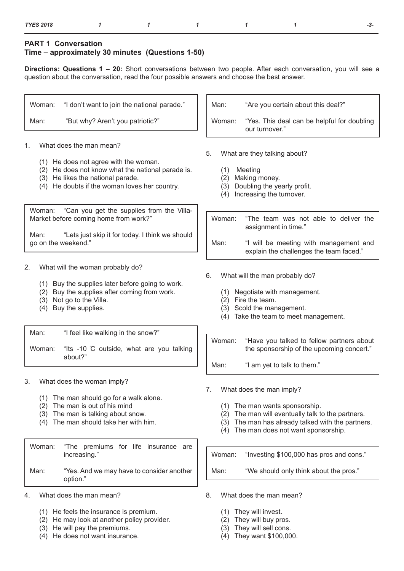## **PART 1 Conversation Time – approximately 30 minutes (Questions 1-50)**

**Directions: Questions 1 – 20:** Short conversations between two people. After each conversation, you will see a question about the conversation, read the four possible answers and choose the best answer.

| Woman:                   | "I don't want to join the national parade."                                                                                                                                                                                                                                                                                                          | Man:<br>"Are you certain about this deal?"                                                                                                                                                                                       |
|--------------------------|------------------------------------------------------------------------------------------------------------------------------------------------------------------------------------------------------------------------------------------------------------------------------------------------------------------------------------------------------|----------------------------------------------------------------------------------------------------------------------------------------------------------------------------------------------------------------------------------|
| Man:                     | "But why? Aren't you patriotic?"                                                                                                                                                                                                                                                                                                                     | "Yes. This deal can be helpful for doubling<br>Woman:<br>our turnover."                                                                                                                                                          |
| 1.<br>Woman:<br>Man:     | What does the man mean?<br>(1) He does not agree with the woman.<br>(2) He does not know what the national parade is.<br>(3) He likes the national parade.<br>(4) He doubts if the woman loves her country.<br>"Can you get the supplies from the Villa-<br>Market before coming home from work?"<br>"Lets just skip it for today. I think we should | 5.<br>What are they talking about?<br>Meeting<br>(1)<br>Making money.<br>(2)<br>Doubling the yearly profit.<br>(3)<br>Increasing the turnover.<br>(4)<br>Woman:<br>"The team was not able to deliver the<br>assignment in time." |
|                          | go on the weekend."                                                                                                                                                                                                                                                                                                                                  | Man:<br>"I will be meeting with management and<br>explain the challenges the team faced."                                                                                                                                        |
| 2.<br>(2)<br>(3)<br>(4)  | What will the woman probably do?<br>(1) Buy the supplies later before going to work.<br>Buy the supplies after coming from work.<br>Not go to the Villa.<br>Buy the supplies.                                                                                                                                                                        | 6.<br>What will the man probably do?<br>(1) Negotiate with management.<br>(2) Fire the team.<br>Scold the management.<br>(3)<br>Take the team to meet management.<br>(4)                                                         |
| Man:<br>Woman:           | "I feel like walking in the snow?"<br>"Its -10 °C outside, what are you talking<br>about?"                                                                                                                                                                                                                                                           | Woman:<br>"Have you talked to fellow partners about<br>the sponsorship of the upcoming concert."<br>"I am yet to talk to them."<br>Man:                                                                                          |
| 3.<br>(2)<br>(3)<br>(4)  | What does the woman imply?<br>(1) The man should go for a walk alone.<br>The man is out of his mind<br>The man is talking about snow.<br>The man should take her with him.                                                                                                                                                                           | What does the man imply?<br>7.<br>The man wants sponsorship.<br>(1)<br>The man will eventually talk to the partners.<br>(2)<br>The man has already talked with the partners.<br>(3)<br>The man does not want sponsorship.<br>(4) |
| Woman:                   | "The premiums for life insurance are<br>increasing."                                                                                                                                                                                                                                                                                                 | "Investing \$100,000 has pros and cons."<br>Woman:                                                                                                                                                                               |
| Man:                     | "Yes. And we may have to consider another<br>option."                                                                                                                                                                                                                                                                                                | "We should only think about the pros."<br>Man:                                                                                                                                                                                   |
| 4.                       | What does the man mean?                                                                                                                                                                                                                                                                                                                              | What does the man mean?<br>8.                                                                                                                                                                                                    |
| (1)<br>(2)<br>(3)<br>(4) | He feels the insurance is premium.<br>He may look at another policy provider.<br>He will pay the premiums.<br>He does not want insurance.                                                                                                                                                                                                            | They will invest.<br>(1)<br>They will buy pros.<br>(2)<br>They will sell cons.<br>(3)<br>They want \$100,000.<br>(4)                                                                                                             |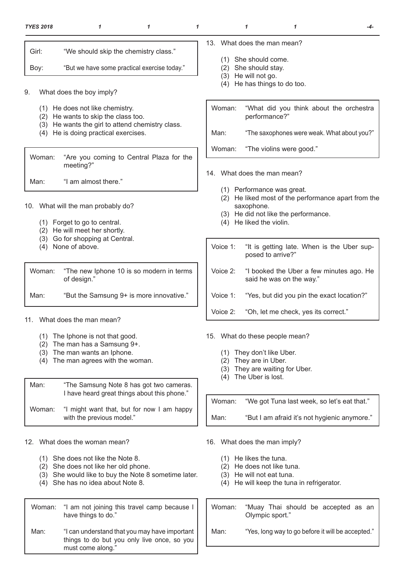| <b>TYES 2018</b>         | 1                                                                                                                                                                                       | 1 |  |                                                                                                                                                                     | 1                                                                   |                                                                                                                                   | -4- |  |  |
|--------------------------|-----------------------------------------------------------------------------------------------------------------------------------------------------------------------------------------|---|--|---------------------------------------------------------------------------------------------------------------------------------------------------------------------|---------------------------------------------------------------------|-----------------------------------------------------------------------------------------------------------------------------------|-----|--|--|
| Girl:                    | "We should skip the chemistry class."                                                                                                                                                   |   |  |                                                                                                                                                                     |                                                                     | 13. What does the man mean?                                                                                                       |     |  |  |
| Boy:                     | "But we have some practical exercise today."                                                                                                                                            |   |  |                                                                                                                                                                     | (1) She should come.<br>(2) She should stay.<br>(3) He will not go. |                                                                                                                                   |     |  |  |
| 9.                       | What does the boy imply?                                                                                                                                                                |   |  |                                                                                                                                                                     |                                                                     | (4) He has things to do too.                                                                                                      |     |  |  |
| (4)                      | (1) He does not like chemistry.<br>(2) He wants to skip the class too.<br>(3) He wants the girl to attend chemistry class.<br>He is doing practical exercises.                          |   |  | Woman:<br>Man:                                                                                                                                                      |                                                                     | "What did you think about the orchestra<br>performance?"<br>"The saxophones were weak. What about you?"                           |     |  |  |
| Woman:                   | "Are you coming to Central Plaza for the                                                                                                                                                |   |  | Woman:                                                                                                                                                              |                                                                     | "The violins were good."                                                                                                          |     |  |  |
| Man:                     | meeting?"<br>"I am almost there."                                                                                                                                                       |   |  | 14.                                                                                                                                                                 |                                                                     | What does the man mean?                                                                                                           |     |  |  |
| (3)                      | 10. What will the man probably do?<br>(1) Forget to go to central.<br>(2) He will meet her shortly.<br>Go for shopping at Central.                                                      |   |  | (1) Performance was great.<br>(2) He liked most of the performance apart from the<br>saxophone.<br>(3) He did not like the performance.<br>(4) He liked the violin. |                                                                     |                                                                                                                                   |     |  |  |
| (4)                      | None of above.                                                                                                                                                                          |   |  | Voice 1:                                                                                                                                                            |                                                                     | "It is getting late. When is the Uber sup-<br>posed to arrive?"                                                                   |     |  |  |
| Woman:                   | "The new Iphone 10 is so modern in terms<br>of design."                                                                                                                                 |   |  | Voice 2:                                                                                                                                                            |                                                                     | "I booked the Uber a few minutes ago. He<br>said he was on the way."                                                              |     |  |  |
| Man:                     | "But the Samsung 9+ is more innovative."                                                                                                                                                |   |  | Voice 1:                                                                                                                                                            |                                                                     | "Yes, but did you pin the exact location?"                                                                                        |     |  |  |
|                          | 11. What does the man mean?                                                                                                                                                             |   |  | Voice 2:                                                                                                                                                            |                                                                     | "Oh, let me check, yes its correct."                                                                                              |     |  |  |
| (1)<br>(2)<br>(3)<br>(4) | The Iphone is not that good.<br>The man has a Samsung 9+.<br>The man wants an Iphone.<br>The man agrees with the woman.                                                                 |   |  | (1)<br>(2)<br>(3)<br>(4)                                                                                                                                            | They are in Uber.<br>The Uber is lost.                              | 15. What do these people mean?<br>They don't like Uber.<br>They are waiting for Uber.                                             |     |  |  |
| Man:<br>Woman:           | "The Samsung Note 8 has got two cameras.<br>I have heard great things about this phone."<br>"I might want that, but for now I am happy                                                  |   |  | Woman:                                                                                                                                                              |                                                                     | "We got Tuna last week, so let's eat that."                                                                                       |     |  |  |
|                          | with the previous model."                                                                                                                                                               |   |  | Man:                                                                                                                                                                |                                                                     | "But I am afraid it's not hygienic anymore."                                                                                      |     |  |  |
| (1)<br>(2)<br>(3)<br>(4) | 12. What does the woman mean?<br>She does not like the Note 8.<br>She does not like her old phone.<br>She would like to buy the Note 8 sometime later.<br>She has no idea about Note 8. |   |  | (1)<br>(2)                                                                                                                                                          | He likes the tuna.                                                  | 16. What does the man imply?<br>He does not like tuna.<br>(3) He will not eat tuna.<br>(4) He will keep the tuna in refrigerator. |     |  |  |

Woman: "I am not joining this travel camp because I have things to do." Man: "I can understand that you may have important things to do but you only live once, so you must come along."

Olympic sport." Man: "Yes, long way to go before it will be accepted."

Woman: "Muay Thai should be accepted as an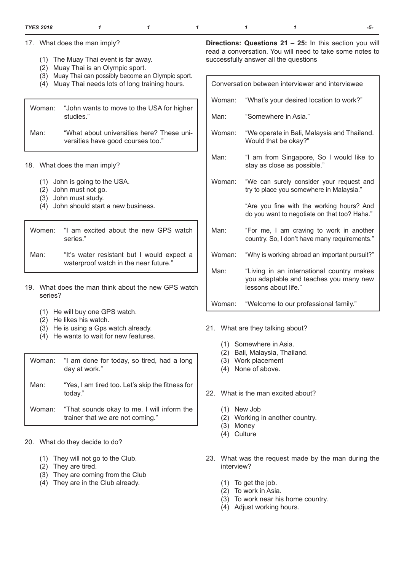17. What does the man imply?

- (1) The Muay Thai event is far away.
- (2) Muay Thai is an Olympic sport.
- (3) Muay Thai can possibly become an Olympic sport.
- (4) Muay Thai needs lots of long training hours.

| Woman: | "John wants to move to the USA for higher<br>studies."                         |
|--------|--------------------------------------------------------------------------------|
| Man:   | "What about universities here? These uni-<br>versities have good courses too." |

- 18. What does the man imply?
	- (1) John is going to the USA.
	- (2) John must not go.
	- (3) John must study.

ſ

(4) John should start a new business.

|      | Women: "I am excited about the new GPS watch<br>series." |
|------|----------------------------------------------------------|
| Man: | "It's water resistant but I would expect a               |

waterproof watch in the near future."

- 19. What does the man think about the new GPS watch series?
	- (1) He will buy one GPS watch.
	- (2) He likes his watch.
	- (3) He is using a Gps watch already.
	- (4) He wants to wait for new features.

| Woman: | "I am done for today, so tired, had a long<br>day at work."                           |
|--------|---------------------------------------------------------------------------------------|
| Man:   | "Yes, I am tired too. Let's skip the fitness for<br>today."                           |
|        | Woman: "That sounds okay to me. I will inform the<br>trainer that we are not coming." |

- 20. What do they decide to do?
	- (1) They will not go to the Club.
	- (2) They are tired.
	- (3) They are coming from the Club
	- (4) They are in the Club already.

**Directions: Questions 21 – 25:** In this section you will read a conversation. You will need to take some notes to successfully answer all the questions

| Conversation between interviewer and interviewee |                                                                                                             |  |  |
|--------------------------------------------------|-------------------------------------------------------------------------------------------------------------|--|--|
| Woman:                                           | "What's your desired location to work?"                                                                     |  |  |
| Man:                                             | "Somewhere in Asia."                                                                                        |  |  |
| Woman:                                           | "We operate in Bali, Malaysia and Thailand.<br>Would that be okay?"                                         |  |  |
| Man:                                             | "I am from Singapore, So I would like to<br>stay as close as possible."                                     |  |  |
| Woman:                                           | "We can surely consider your request and<br>try to place you somewhere in Malaysia."                        |  |  |
|                                                  | "Are you fine with the working hours? And<br>do you want to negotiate on that too? Haha."                   |  |  |
| Man:                                             | "For me, I am craving to work in another<br>country. So, I don't have many requirements."                   |  |  |
| Woman:                                           | "Why is working abroad an important pursuit?"                                                               |  |  |
| Man:                                             | "Living in an international country makes<br>you adaptable and teaches you many new<br>lessons about life." |  |  |
| Woman:                                           | "Welcome to our professional family."                                                                       |  |  |

- 21. What are they talking about?
	- (1) Somewhere in Asia.
	- (2) Bali, Malaysia, Thailand.
	- (3) Work placement
	- (4) None of above.
- 22. What is the man excited about?
	- (1) New Job
	- (2) Working in another country.
	- (3) Money
	- (4) Culture
- 23. What was the request made by the man during the interview?
	- (1) To get the job.
	- (2) To work in Asia.
	- (3) To work near his home country.
	- (4) Adjust working hours.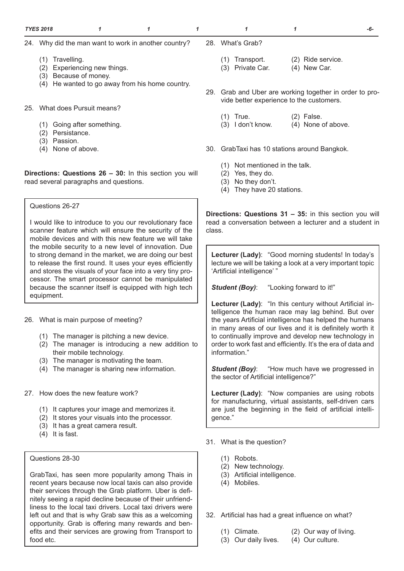- 24. Why did the man want to work in another country?
	- (1) Travelling.
	- (2) Experiencing new things.
	- (3) Because of money.
	- (4) He wanted to go away from his home country.
- 25. What does Pursuit means?
	- (1) Going after something.
	- (2) Persistance.
	- (3) Passion.
	- (4) None of above.

**Directions: Questions 26 – 30:** In this section you will read several paragraphs and questions.

Questions 26-27

I would like to introduce to you our revolutionary face scanner feature which will ensure the security of the mobile devices and with this new feature we will take the mobile security to a new level of innovation. Due to strong demand in the market, we are doing our best to release the first round. It uses your eyes efficiently and stores the visuals of your face into a very tiny processor. The smart processor cannot be manipulated because the scanner itself is equipped with high tech equipment.

26. What is main purpose of meeting?

- (1) The manager is pitching a new device.
- (2) The manager is introducing a new addition to their mobile technology.
- (3) The manager is motivating the team.
- (4) The manager is sharing new information.
- 27. How does the new feature work?
	- (1) It captures your image and memorizes it.
	- (2) It stores your visuals into the processor.
	- (3) It has a great camera result.
	- (4) It is fast.

Questions 28-30

GrabTaxi, has seen more popularity among Thais in recent years because now local taxis can also provide their services through the Grab platform. Uber is definitely seeing a rapid decline because of their unfriendliness to the local taxi drivers. Local taxi drivers were left out and that is why Grab saw this as a welcoming opportunity. Grab is offering many rewards and benefits and their services are growing from Transport to food etc.

- 28. What's Grab?
	- (1) Transport. (2) Ride service.
	- (3) Private Car. (4) New Car.
- 29. Grab and Uber are working together in order to provide better experience to the customers.
	- (1) True. (2) False.
	- (3) I don't know. (4) None of above.
- 30. GrabTaxi has 10 stations around Bangkok.
	- (1) Not mentioned in the talk.
	- (2) Yes, they do.
	- (3) No they don't.
	- (4) They have 20 stations.

**Directions: Questions 31 – 35:** in this section you will read a conversation between a lecturer and a student in class.

**Lecturer (Lady)**: "Good morning students! In today's lecture we will be taking a look at a very important topic 'Artificial intelligence' "

**Student (Boy):** "Looking forward to it!"

**Lecturer (Lady)**: "In this century without Artificial intelligence the human race may lag behind. But over the years Artificial intelligence has helped the humans in many areas of our lives and it is definitely worth it to continually improve and develop new technology in order to work fast and efficiently. It's the era of data and information."

**Student (Boy):** "How much have we progressed in the sector of Artificial intelligence?"

**Lecturer (Lady)**: "Now companies are using robots for manufacturing, virtual assistants, self-driven cars are just the beginning in the field of artificial intelligence."

31. What is the question?

- (1) Robots.
- (2) New technology.
- (3) Artificial intelligence.
- (4) Mobiles.

32. Artificial has had a great influence on what?

- (1) Climate. (2) Our way of living.
- (3) Our daily lives. (4) Our culture.
- -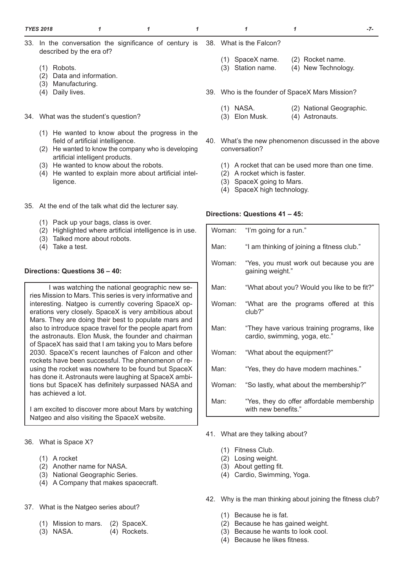- 33. In the conversation the significance of century is described by the era of? 38. What is the Falcon?
	- (1) Robots.
	- (2) Data and information.
	- (3) Manufacturing.
	- (4) Daily lives.
- 34. What was the student's question?
	- (1) He wanted to know about the progress in the field of artificial intelligence.
	- (2) He wanted to know the company who is developing artificial intelligent products.
	- (3) He wanted to know about the robots.
	- (4) He wanted to explain more about artificial intelligence.
- 35. At the end of the talk what did the lecturer say.
	- (1) Pack up your bags, class is over.
	- (2) Highlighted where artificial intelligence is in use.
	- (3) Talked more about robots.
	- (4) Take a test.

#### **Directions: Questions 36 – 40:**

I was watching the national geographic new series Mission to Mars. This series is very informative and interesting. Natgeo is currently covering SpaceX operations very closely. SpaceX is very ambitious about Mars. They are doing their best to populate mars and also to introduce space travel for the people apart from the astronauts. Elon Musk, the founder and chairman of SpaceX has said that I am taking you to Mars before 2030. SpaceX's recent launches of Falcon and other rockets have been successful. The phenomenon of reusing the rocket was nowhere to be found but SpaceX has done it. Astronauts were laughing at SpaceX ambitions but SpaceX has definitely surpassed NASA and has achieved a lot.

I am excited to discover more about Mars by watching Natgeo and also visiting the SpaceX website.

36. What is Space X?

- (1) A rocket
- (2) Another name for NASA.
- (3) National Geographic Series.
- (4) A Company that makes spacecraft.
- 37. What is the Natgeo series about?
	- (1) Mission to mars. (2) SpaceX.
	- (3) NASA. (4) Rockets.
- (1) SpaceX name. (2) Rocket name.
- (3) Station name. (4) New Technology.
- 39. Who is the founder of SpaceX Mars Mission?
	- (1) NASA. (2) National Geographic.
	- (3) Elon Musk. (4) Astronauts.
- 40. What's the new phenomenon discussed in the above conversation?
	- (1) A rocket that can be used more than one time.
	- (2) A rocket which is faster.
	- (3) SpaceX going to Mars.
	- (4) SpaceX high technology.

#### **Directions: Questions 41 – 45:**

| Woman: | "I'm going for a run."                                                      |
|--------|-----------------------------------------------------------------------------|
| Man:   | "I am thinking of joining a fitness club."                                  |
| Woman: | "Yes, you must work out because you are<br>gaining weight."                 |
| Man:   | "What about you? Would you like to be fit?"                                 |
| Woman: | "What are the programs offered at this<br>club?"                            |
| Man:   | "They have various training programs, like<br>cardio, swimming, yoga, etc." |
| Woman: | "What about the equipment?"                                                 |
| Man:   | "Yes, they do have modern machines."                                        |
| Woman: | "So lastly, what about the membership?"                                     |
| Man:   | "Yes, they do offer affordable membership<br>with new benefits."            |

- 41. What are they talking about?
	- (1) Fitness Club.
	- (2) Losing weight.
	- (3) About getting fit.
	- (4) Cardio, Swimming, Yoga.
- 42. Why is the man thinking about joining the fitness club?
	- (1) Because he is fat.
	- (2) Because he has gained weight.
	- (3) Because he wants to look cool.
	- (4) Because he likes fitness.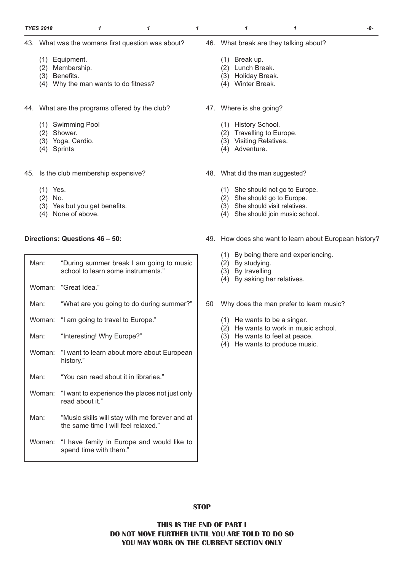- (1) Equipment.
- (2) Membership.
- (3) Benefits.
- (4) Why the man wants to do fitness?
- 44. What are the programs offered by the club?
	- (1) Swimming Pool
	- (2) Shower.
	- (3) Yoga, Cardio.
	- (4) Sprints
- 45. Is the club membership expensive?
	- (1) Yes.
	- (2) No.
	- (3) Yes but you get benefits.
	- (4) None of above.

## **Directions: Questions 46 – 50:**

| Man: | "During summer break I am going to music<br>school to learn some instruments."        |
|------|---------------------------------------------------------------------------------------|
|      | Woman: "Great Idea."                                                                  |
| Man: | "What are you going to do during summer?"                                             |
|      | Woman: "I am going to travel to Europe."                                              |
| Man: | "Interesting! Why Europe?"                                                            |
|      | Woman: "I want to learn about more about European<br>history."                        |
| Man: | "You can read about it in libraries."                                                 |
|      | Woman: "I want to experience the places not just only<br>read about it."              |
| Man: | "Music skills will stay with me forever and at<br>the same time I will feel relaxed." |
|      | Woman: "I have family in Europe and would like to<br>spend time with them."           |

- 46. What break are they talking about?
	- (1) Break up.
	- (2) Lunch Break.
	- (3) Holiday Break.
	- (4) Winter Break.
- 47. Where is she going?
	- (1) History School.
	- (2) Travelling to Europe.
	- (3) Visiting Relatives.
	- (4) Adventure.
- 48. What did the man suggested?
	- (1) She should not go to Europe.
	- (2) She should go to Europe.
	- (3) She should visit relatives.
	- (4) She should join music school.
- 49. How does she want to learn about European history?
	- (1) By being there and experiencing.
	- (2) By studying.
	- (3) By travelling
	- (4) By asking her relatives.
- 50 Why does the man prefer to learn music?
	- (1) He wants to be a singer.
	- (2) He wants to work in music school.
	- (3) He wants to feel at peace.
	- (4) He wants to produce music.

**STOP**

**THIS IS THE END OF PART I DO NOT MOVE FURTHER UNTIL YOU ARE TOLD TO DO SO YOU MAY WORK ON THE CURRENT SECTION ONLY**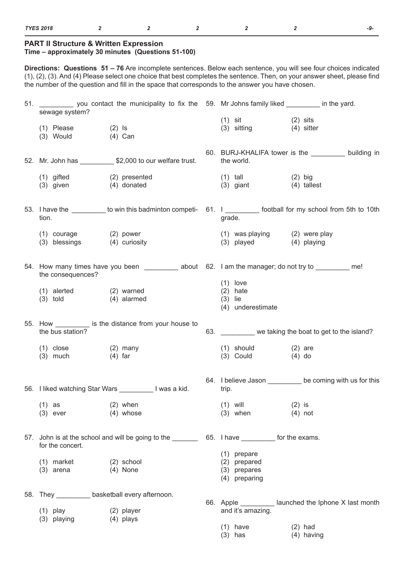### **PART II Structure & Written Expression**

### **Time – approximately 30 minutes (Questions 51-100)**

**Directions: Questions 51 – 76** Are incomplete sentences. Below each sentence, you will see four choices indicated (1), (2), (3). And (4) Please select one choice that best completes the sentence. Then, on your answer sheet, please find the number of the question and fill in the space that corresponds to the answer you have chosen.

| 51. _____________ you contact the municipality to fix the 59. Mr Johns family liked __________ in the yard.<br>sewage system? |                                                                                                        |                                                                |                                                                                                                 |
|-------------------------------------------------------------------------------------------------------------------------------|--------------------------------------------------------------------------------------------------------|----------------------------------------------------------------|-----------------------------------------------------------------------------------------------------------------|
| $(2)$ Is<br>$(1)$ Please<br>(3) Would<br>(4) Can                                                                              |                                                                                                        | $(1)$ sit<br>(3) sitting (4) sitter                            | $(2)$ sits                                                                                                      |
|                                                                                                                               | 52. Mr. John has _____________ \$2,000 to our welfare trust.                                           | the world.                                                     | 60. BURJ-KHALIFA tower is the __________ building in                                                            |
| $(1)$ gifted<br>(3) given (4) donated                                                                                         | (2) presented                                                                                          | $(1)$ tall<br>(3) giant (4) tallest                            | $(2)$ big                                                                                                       |
| tion.                                                                                                                         |                                                                                                        | grade.                                                         | 53. I have the _________ to win this badminton competi- 61. I _________ football for my school from 5th to 10th |
| (1) courage (2) power<br>(3) blessings (4) curiosity                                                                          |                                                                                                        | (3) played (4) playing                                         | (1) was playing (2) were play                                                                                   |
| the consequences?                                                                                                             | 54. How many times have you been ____________ about 62. I am the manager; do not try to __________ me! |                                                                |                                                                                                                 |
| (1) alerted (2) warned<br>$(3)$ told $(4)$ alarmed                                                                            |                                                                                                        | $(1)$ love<br>$(2)$ hate<br>$(3)$ lie<br>(4) underestimate     |                                                                                                                 |
| the bus station?                                                                                                              | 55. How ___________ is the distance from your house to                                                 |                                                                | 63. ________ we taking the boat to get to the island?                                                           |
| $(1)$ close $(2)$ many<br>$(3)$ much                                                                                          | (4) far                                                                                                | $(1)$ should $(2)$ are<br>$(3)$ Could $(4)$ do                 |                                                                                                                 |
|                                                                                                                               | 56. I liked watching Star Wars __________ I was a kid.                                                 | trip.                                                          | 64. I believe Jason _________ be coming with us for this                                                        |
| $(1)$ as<br>$(3)$ ever                                                                                                        | $(2)$ when<br>$(4)$ whose                                                                              | $(1)$ will<br>$(3)$ when                                       | $(2)$ is<br>$(4)$ not                                                                                           |
| for the concert.                                                                                                              |                                                                                                        |                                                                |                                                                                                                 |
| $(1)$ market<br>$(3)$ arena                                                                                                   | $(2)$ school<br>$(4)$ None                                                                             | $(1)$ prepare<br>(2) prepared<br>(3) prepares<br>(4) preparing |                                                                                                                 |
| 58. They _____________ basketball every afternoon.                                                                            |                                                                                                        |                                                                | 66. Apple ____________ launched the lphone X last month                                                         |
| $(1)$ play<br>(3) playing                                                                                                     | (2) player<br>$(4)$ plays                                                                              | and it's amazing.                                              |                                                                                                                 |
|                                                                                                                               |                                                                                                        | $(1)$ have<br>$(3)$ has                                        | $(2)$ had<br>$(4)$ having                                                                                       |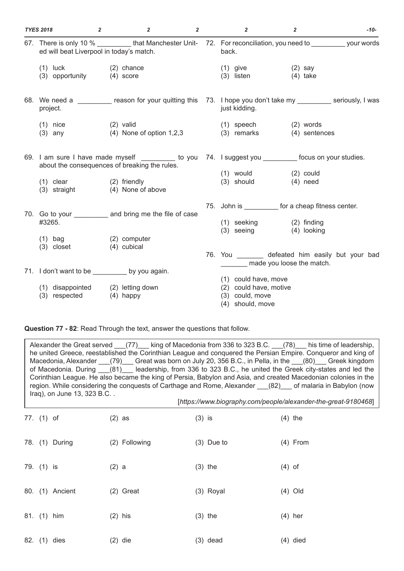| <b>TYES 2018</b>                                                                                                                                               | $\overline{2}$                    | $\overline{2}$             | $\overline{2}$ | $\overline{2}$                                                                        | $\overline{2}$             | -10- |
|----------------------------------------------------------------------------------------------------------------------------------------------------------------|-----------------------------------|----------------------------|----------------|---------------------------------------------------------------------------------------|----------------------------|------|
| 67. There is only 10 % ___________ that Manchester Unit- 72. For reconciliation, you need to __________ your words<br>ed will beat Liverpool in today's match. |                                   |                            |                | back.                                                                                 |                            |      |
| $(1)$ luck<br>(3) opportunity (4) score                                                                                                                        | (2) chance                        |                            |                | $(1)$ give<br>$(3)$ listen                                                            | (2) say<br>$(4)$ take      |      |
| 68. We need a ________ reason for your quitting this 73. I hope you don't take my ________ seriously, I was<br>project.                                        |                                   |                            |                | just kidding.                                                                         |                            |      |
| $(1)$ nice<br>$(3)$ any                                                                                                                                        | $(2)$ valid                       | $(4)$ None of option 1,2,3 |                | (1) speech<br>(3) remarks                                                             | (2) words<br>(4) sentences |      |
| 69. I am sure I have made myself __________ to you 74. I suggest you _________ focus on your studies.<br>about the consequences of breaking the rules.         |                                   |                            |                |                                                                                       |                            |      |
| $(1)$ clear<br>(3) straight                                                                                                                                    | (2) friendly<br>(4) None of above |                            |                | (1) would<br>(3) should                                                               | $(2)$ could<br>$(4)$ need  |      |
| 70. Go to your ___________ and bring me the file of case<br>#3265.                                                                                             |                                   |                            |                | 75. John is ____________ for a cheap fitness center.<br>(1) seeking (2) finding       |                            |      |
| $(1)$ bag<br>$(3)$ closet                                                                                                                                      | (2) computer<br>(4) cubical       |                            |                | $(3)$ seeing<br>76. You _________ defeated him easily but your bad                    | (4) looking                |      |
| 71. I don't want to be _________ by you again.                                                                                                                 |                                   |                            |                |                                                                                       | made you loose the match.  |      |
| (1) disappointed (2) letting down<br>(3) respected (4) happy                                                                                                   |                                   |                            |                | (1) could have, move<br>(2) could have, motive<br>(3) could, move<br>(4) should, move |                            |      |

**Question 77 - 82**: Read Through the text, answer the questions that follow.

Alexander the Great served (77) king of Macedonia from 336 to 323 B.C. (78) his time of leadership, he united Greece, reestablished the Corinthian League and conquered the Persian Empire. Conqueror and king of Macedonia, Alexander \_\_\_(79)\_\_\_ Great was born on July 20, 356 B.C., in Pella, in the \_\_\_(80)\_\_\_ Greek kingdom of Macedonia. During \_\_\_(81)\_\_\_ leadership, from 336 to 323 B.C., he united the Greek city-states and led the Corinthian League. He also became the king of Persia, Babylon and Asia, and created Macedonian colonies in the region. While considering the conquests of Carthage and Rome, Alexander (82) of malaria in Babylon (now Iraq), on June 13, 323 B.C. . [*https://www.biography.com/people/alexander-the-great-9180468*] 77. (1) of (2) as (3) is (4) the 78. (1) During (2) Following (3) Due to (4) From 79. (1) is (2) a (3) the (4) of 80. (1) Ancient (2) Great (3) Royal (4) Old 81. (1) him (2) his (3) the (4) her 82. (1) dies (2) die (3) dead (4) died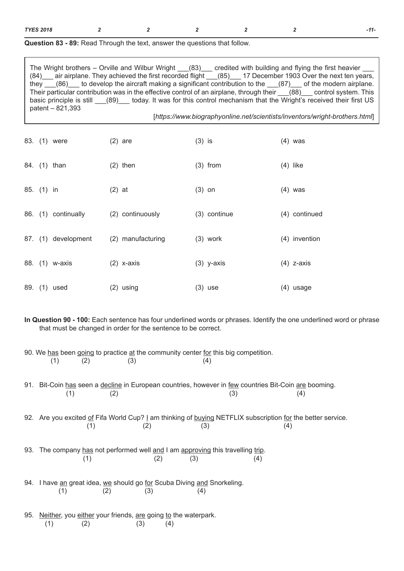| <b>TYES 2018</b> |  |  |  |  |  | -11 |
|------------------|--|--|--|--|--|-----|
|------------------|--|--|--|--|--|-----|

| <b>Question 83 - 89:</b> Read Through the text, answer the questions that follow. |  |
|-----------------------------------------------------------------------------------|--|
|-----------------------------------------------------------------------------------|--|

| The Wright brothers $-$ Orville and Wilbur Wright $(83)$<br>credited with building and flying the first heavier    |
|--------------------------------------------------------------------------------------------------------------------|
| air airplane. They achieved the first recorded flight (85) 17 December 1903 Over the next ten years,<br>(84)       |
| they $(86)$ to develop the aircraft making a significant contribution to the $(87)$ of the modern airplane.        |
| Their particular contribution was in the effective control of an airplane, through their (88) control system. This |
| basic principle is still (89) today. It was for this control mechanism that the Wright's received their first US   |
| patent - 821,393                                                                                                   |
| [https://www.biographyonline.net/scientists/inventors/wright-brothers.html]                                        |

|            | 83. (1) were        | $(2)$ are         | $(3)$ is     | $(4)$ was     |
|------------|---------------------|-------------------|--------------|---------------|
|            | 84. (1) than        | $(2)$ then        | $(3)$ from   | $(4)$ like    |
| 85. (1) in |                     | $(2)$ at          | $(3)$ on     | $(4)$ was     |
|            | 86. (1) continually | (2) continuously  | (3) continue | (4) continued |
|            | 87. (1) development | (2) manufacturing | $(3)$ work   | (4) invention |
|            | 88. (1) w-axis      | $(2)$ x-axis      | $(3)$ y-axis | $(4)$ z-axis  |
|            | 89. (1) used        | $(2)$ using       | $(3)$ use    | $(4)$ usage   |

**In Question 90 - 100:** Each sentence has four underlined words or phrases. Identify the one underlined word or phrase that must be changed in order for the sentence to be correct.

90. We <u>has</u> been going to practice <u>at</u> the community center <u>for</u> this big competition.<br>(1) (2) (3) (4)  $(1)$   $(2)$   $(3)$   $(4)$ 

91. Bit-Coin has seen a decline in European countries, however in few countries Bit-Coin are booming.  $(1)$   $(2)$   $(3)$   $(4)$ 

92. Are you excited of Fifa World Cup? I am thinking of buying NETFLIX subscription for the better service.  $(1)$   $(2)$   $(3)$   $(4)$ 

- 93. The company has not performed well and I am approving this travelling trip.  $(1)$   $(2)$   $(3)$   $(4)$
- 94. I have an great idea, we should go for Scuba Diving and Snorkeling.  $(1)$   $(2)$   $(3)$   $(4)$
- 95. Neither, you either your friends, are going to the waterpark.  $(1)$   $(2)$   $(3)$   $(4)$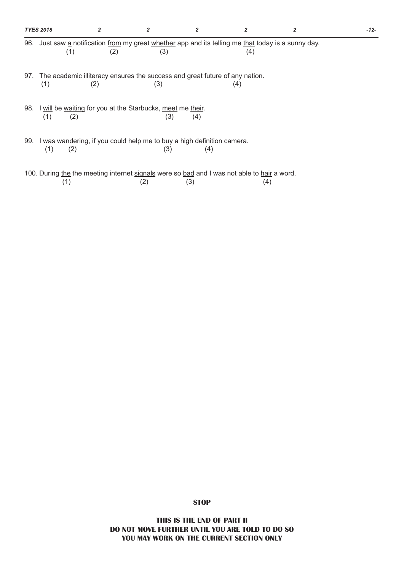|     | <b>TYES 2018</b> |     |                                                                                                            |     |     | -12- |
|-----|------------------|-----|------------------------------------------------------------------------------------------------------------|-----|-----|------|
|     | (1)              | (2) | 96. Just saw a notification from my great whether app and its telling me that today is a sunny day.<br>(3) |     | (4) |      |
| 97. | (1)              | (2) | The academic illiteracy ensures the success and great future of any nation.<br>(3)                         |     | (4) |      |
|     | (1)<br>(2)       |     | 98. I will be waiting for you at the Starbucks, meet me their.<br>(3)                                      | (4) |     |      |
|     | (2)<br>(1)       |     | 99. I was wandering, if you could help me to buy a high definition camera.<br>(3)                          | (4) |     |      |
|     |                  |     | 100. During the the meeting internet signals were so bad and I was not able to hair a word.                |     |     |      |

 $(1)$   $(2)$   $(3)$   $(4)$ 

**STOP**

**THIS IS THE END OF PART II DO NOT MOVE FURTHER UNTIL YOU ARE TOLD TO DO SO YOU MAY WORK ON THE CURRENT SECTION ONLY**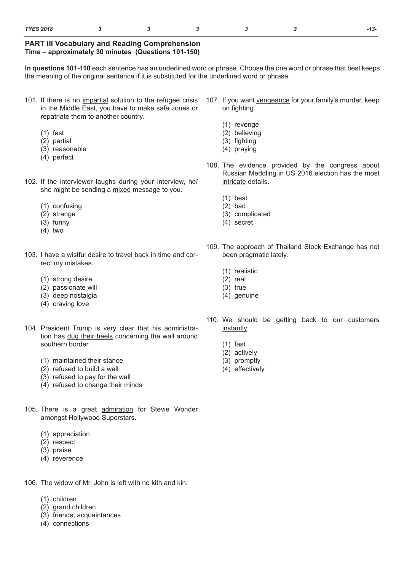### **PART III Vocabulary and Reading Comprehension Time – approximately 30 minutes (Questions 101-150)**

**In questions 101-110** each sentence has an underlined word or phrase. Choose the one word or phrase that best keeps the meaning of the original sentence if it is substituted for the underlined word or phrase.

- 101. If there is no impartial solution to the refugee crisis in the Middle East, you have to make safe zones or repatriate them to another country.
	- (1) fast
	- (2) partial
	- (3) reasonable
	- (4) perfect
- 102. If the interviewer laughs during your interview, he/ she might be sending a mixed message to you.
	- (1) confusing
	- (2) strange
	- (3) funny
	- (4) two
- 103. I have a wistful desire to travel back in time and correct my mistakes.
	- (1) strong desire
	- (2) passionate will
	- (3) deep nostalgia
	- (4) craving love
- 104. President Trump is very clear that his administration has dug their heels concerning the wall around southern border.
	- (1) maintained their stance
	- (2) refused to build a wall
	- (3) refused to pay for the wall
	- (4) refused to change their minds
- 105. There is a great admiration for Stevie Wonder amongst Hollywood Superstars.
	- (1) appreciation
	- (2) respect
	- (3) praise
	- (4) reverence
- 106. The widow of Mr. John is left with no kith and kin.
	- (1) children
	- (2) grand children
	- (3) friends, acquaintances
	- (4) connections
- 107. If you want vengeance for your family's murder, keep on fighting.
	- (1) revenge
	- (2) believing
	- (3) fighting
	- (4) praying
- 108. The evidence provided by the congress about Russian Meddling in US 2016 election has the most intricate details.
	- (1) best
	- (2) bad
	- (3) complicated
	- (4) secret
- 109. The approach of Thailand Stock Exchange has not been pragmatic lately.
	- (1) realistic
	- (2) real
	- (3) true
	- (4) genuine
- 110. We should be getting back to our customers instantly.
	- (1) fast
	- (2) actively
	- (3) promptly
	- (4) effectively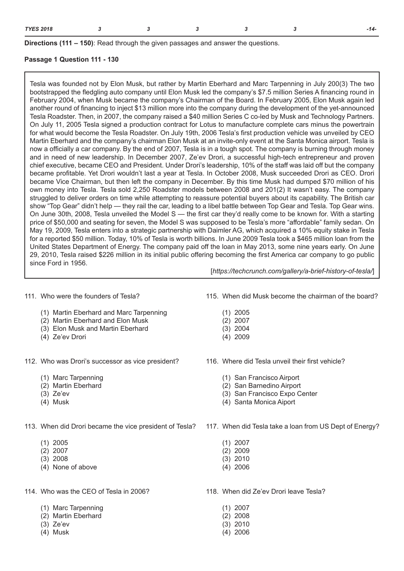**Directions (111 – 150)**: Read through the given passages and answer the questions.

### **Passage 1 Question 111 - 130**

Tesla was founded not by Elon Musk, but rather by Martin Eberhard and Marc Tarpenning in July 200(3) The two bootstrapped the fledgling auto company until Elon Musk led the company's \$7.5 million Series A financing round in February 2004, when Musk became the company's Chairman of the Board. In February 2005, Elon Musk again led another round of financing to inject \$13 million more into the company during the development of the yet-announced Tesla Roadster. Then, in 2007, the company raised a \$40 million Series C co-led by Musk and Technology Partners. On July 11, 2005 Tesla signed a production contract for Lotus to manufacture complete cars minus the powertrain for what would become the Tesla Roadster. On July 19th, 2006 Tesla's first production vehicle was unveiled by CEO Martin Eberhard and the company's chairman Elon Musk at an invite-only event at the Santa Monica airport. Tesla is now a officially a car company. By the end of 2007, Tesla is in a tough spot. The company is burning through money and in need of new leadership. In December 2007, Ze'ev Drori, a successful high-tech entrepreneur and proven chief executive, became CEO and President. Under Drori's leadership, 10% of the staff was laid off but the company became profitable. Yet Drori wouldn't last a year at Tesla. In October 2008, Musk succeeded Drori as CEO. Drori became Vice Chairman, but then left the company in December. By this time Musk had dumped \$70 million of his own money into Tesla. Tesla sold 2,250 Roadster models between 2008 and 201(2) It wasn't easy. The company struggled to deliver orders on time while attempting to reassure potential buyers about its capability. The British car show "Top Gear" didn't help — they rail the car, leading to a libel battle between Top Gear and Tesla. Top Gear wins. On June 30th, 2008, Tesla unveiled the Model S — the first car they'd really come to be known for. With a starting price of \$50,000 and seating for seven, the Model S was supposed to be Tesla's more "affordable" family sedan. On May 19, 2009, Tesla enters into a strategic partnership with Daimler AG, which acquired a 10% equity stake in Tesla for a reported \$50 million. Today, 10% of Tesla is worth billions. In June 2009 Tesla took a \$465 million loan from the United States Department of Energy. The company paid off the loan in May 2013, some nine years early. On June 29, 2010, Tesla raised \$226 million in its initial public offering becoming the first America car company to go public since Ford in 1956.

111. Who were the founders of Tesla?

- (1) Martin Eberhard and Marc Tarpenning
- (2) Martin Eberhard and Elon Musk
- (3) Elon Musk and Martin Eberhard
- (4) Ze'ev Drori
- 112. Who was Drori's successor as vice president?
	- (1) Marc Tarpenning
	- (2) Martin Eberhard
	- (3) Ze'ev
	- (4) Musk
- 113. When did Drori became the vice president of Tesla?
	- (1) 2005
	- (2) 2007
	- (3) 2008
	- (4) None of above
- 114. Who was the CEO of Tesla in 2006?
	- (1) Marc Tarpenning
	- (2) Martin Eberhard
	- (3) Ze'ev
	- (4) Musk

115. When did Musk become the chairman of the board?

[*https://techcrunch.com/gallery/a-brief-history-of-tesla/*]

- (1) 2005
- (2) 2007
- (3) 2004
- (4) 2009
- 116. Where did Tesla unveil their first vehicle?
	- (1) San Francisco Airport
	- (2) San Barnedino Airport
	- (3) San Francisco Expo Center
	- (4) Santa Monica Aiport
- 117. When did Tesla take a loan from US Dept of Energy?
	- (1) 2007
	- (2) 2009
	- (3) 2010
	- (4) 2006
- 118. When did Ze'ev Drori leave Tesla?
	- (1) 2007
	- (2) 2008
	- (3) 2010
	- (4) 2006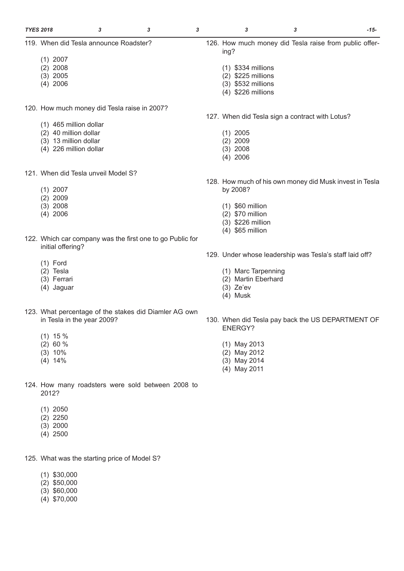| <b>TYES 2018</b>                       | 3 | 3                                                         | 3 |             | 3                    | 3                                               | -15-                                                    |
|----------------------------------------|---|-----------------------------------------------------------|---|-------------|----------------------|-------------------------------------------------|---------------------------------------------------------|
| 119. When did Tesla announce Roadster? |   |                                                           |   | ing?        |                      |                                                 | 126. How much money did Tesla raise from public offer-  |
| $(1)$ 2007                             |   |                                                           |   |             |                      |                                                 |                                                         |
| $(2)$ 2008                             |   |                                                           |   |             | $(1)$ \$334 millions |                                                 |                                                         |
| $(3)$ 2005                             |   |                                                           |   |             | (2) \$225 millions   |                                                 |                                                         |
| $(4)$ 2006                             |   |                                                           |   |             | (3) \$532 millions   |                                                 |                                                         |
|                                        |   |                                                           |   |             | (4) \$226 millions   |                                                 |                                                         |
|                                        |   | 120. How much money did Tesla raise in 2007?              |   |             |                      |                                                 |                                                         |
|                                        |   |                                                           |   |             |                      | 127. When did Tesla sign a contract with Lotus? |                                                         |
| (1) 465 million dollar                 |   |                                                           |   |             |                      |                                                 |                                                         |
| (2) 40 million dollar                  |   |                                                           |   | $(1)$ 2005  |                      |                                                 |                                                         |
| (3) 13 million dollar                  |   |                                                           |   | $(2)$ 2009  |                      |                                                 |                                                         |
| (4) 226 million dollar                 |   |                                                           |   | $(3)$ 2008  |                      |                                                 |                                                         |
|                                        |   |                                                           |   | $(4)$ 2006  |                      |                                                 |                                                         |
| 121. When did Tesla unveil Model S?    |   |                                                           |   |             |                      |                                                 |                                                         |
|                                        |   |                                                           |   |             |                      |                                                 | 128. How much of his own money did Musk invest in Tesla |
| $(1)$ 2007                             |   |                                                           |   | by 2008?    |                      |                                                 |                                                         |
| $(2)$ 2009                             |   |                                                           |   |             |                      |                                                 |                                                         |
| $(3)$ 2008                             |   |                                                           |   |             | $(1)$ \$60 million   |                                                 |                                                         |
| $(4)$ 2006                             |   |                                                           |   |             | $(2)$ \$70 million   |                                                 |                                                         |
|                                        |   |                                                           |   |             | (3) \$226 million    |                                                 |                                                         |
|                                        |   |                                                           |   |             | $(4)$ \$65 million   |                                                 |                                                         |
|                                        |   | 122. Which car company was the first one to go Public for |   |             |                      |                                                 |                                                         |
| initial offering?                      |   |                                                           |   |             |                      |                                                 |                                                         |
|                                        |   |                                                           |   |             |                      |                                                 | 129. Under whose leadership was Tesla's staff laid off? |
| $(1)$ Ford                             |   |                                                           |   |             |                      |                                                 |                                                         |
| $(2)$ Tesla                            |   |                                                           |   |             | (1) Marc Tarpenning  |                                                 |                                                         |
| (3) Ferrari                            |   |                                                           |   |             | (2) Martin Eberhard  |                                                 |                                                         |
| (4) Jaguar                             |   |                                                           |   | $(3)$ Ze'ev |                      |                                                 |                                                         |

(4) Musk

ENERGY?

(1) May 2013 (2) May 2012 (3) May 2014 (4) May 2011

130. When did Tesla pay back the US DEPARTMENT OF

- (4) Jaguar
- 123. What percentage of the stakes did Diamler AG own in Tesla in the year 2009?
	- (1) 15 %
	- (2) 60 %
	- (3) 10%
	- $(4)$  14%
- 124. How many roadsters were sold between 2008 to 2012?
	- (1) 2050
	- (2) 2250
	- (3) 2000
	- (4) 2500

125. What was the starting price of Model S?

- (1) \$30,000
- (2) \$50,000
- (3) \$60,000
- (4) \$70,000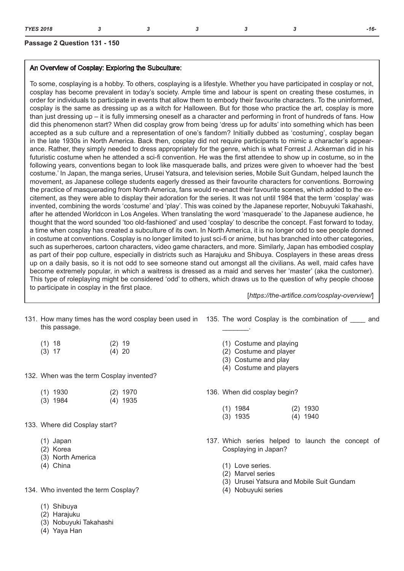## **Passage 2 Question 131 - 150**

## An Overview of Cosplay: Exploring the Subculture:

To some, cosplaying is a hobby. To others, cosplaying is a lifestyle. Whether you have participated in cosplay or not, cosplay has become prevalent in today's society. Ample time and labour is spent on creating these costumes, in order for individuals to participate in events that allow them to embody their favourite characters. To the uninformed, cosplay is the same as dressing up as a witch for Halloween. But for those who practice the art, cosplay is more than just dressing up – it is fully immersing oneself as a character and performing in front of hundreds of fans. How did this phenomenon start? When did cosplay grow from being 'dress up for adults' into something which has been accepted as a sub culture and a representation of one's fandom? Initially dubbed as 'costuming', cosplay began in the late 1930s in North America. Back then, cosplay did not require participants to mimic a character's appearance. Rather, they simply needed to dress appropriately for the genre, which is what Forrest J. Ackerman did in his futuristic costume when he attended a sci-fi convention. He was the first attendee to show up in costume, so in the following years, conventions began to look like masquerade balls, and prizes were given to whoever had the 'best costume.' In Japan, the manga series, Urusei Yatsura, and television series, Mobile Suit Gundam, helped launch the movement, as Japanese college students eagerly dressed as their favourite characters for conventions. Borrowing the practice of masquerading from North America, fans would re-enact their favourite scenes, which added to the excitement, as they were able to display their adoration for the series. It was not until 1984 that the term 'cosplay' was invented, combining the words 'costume' and 'play'. This was coined by the Japanese reporter, Nobuyuki Takahashi, after he attended Worldcon in Los Angeles. When translating the word 'masquerade' to the Japanese audience, he thought that the word sounded 'too old-fashioned' and used 'cosplay' to describe the concept. Fast forward to today, a time when cosplay has created a subculture of its own. In North America, it is no longer odd to see people donned in costume at conventions. Cosplay is no longer limited to just sci-fi or anime, but has branched into other categories, such as superheroes, cartoon characters, video game characters, and more. Similarly, Japan has embodied cosplay as part of their pop culture, especially in districts such as Harajuku and Shibuya. Cosplayers in these areas dress up on a daily basis, so it is not odd to see someone stand out amongst all the civilians. As well, maid cafes have become extremely popular, in which a waitress is dressed as a maid and serves her 'master' (aka the customer). This type of roleplaying might be considered 'odd' to others, which draws us to the question of why people choose to participate in cosplay in the first place.

[*https://the-artifice.com/cosplay-overview/*]

| 131. How many times has the word cosplay been used in 135. The word Cosplay is the combination of ______<br>this passage. |                          |  |                                                                                                      |  |            |  |  |
|---------------------------------------------------------------------------------------------------------------------------|--------------------------|--|------------------------------------------------------------------------------------------------------|--|------------|--|--|
| $(1)$ 18<br>$(3)$ 17                                                                                                      | $(2)$ 19<br>$(4)$ 20     |  | (1) Costume and playing<br>(2) Costume and player<br>(3) Costume and play<br>(4) Costume and players |  |            |  |  |
| 132. When was the term Cosplay invented?                                                                                  |                          |  |                                                                                                      |  |            |  |  |
| $(1)$ 1930<br>$(3)$ 1984                                                                                                  | $(2)$ 1970<br>$(4)$ 1935 |  | 136. When did cosplay begin?<br>$(1)$ 1984                                                           |  | $(2)$ 1930 |  |  |
| 133. Where did Cosplay start?                                                                                             |                          |  | $(3)$ 1935                                                                                           |  | $(4)$ 1940 |  |  |
|                                                                                                                           |                          |  |                                                                                                      |  |            |  |  |
| (1) Japan<br>(2) Korea<br>(3) North America                                                                               |                          |  | 137. Which series helped to launch the concept of<br>Cosplaying in Japan?                            |  |            |  |  |
| (4) China                                                                                                                 |                          |  | (1) Love series.<br>(2) Marvel series<br>(3) Urusei Yatsura and Mobile Suit Gundam                   |  |            |  |  |
| 134. Who invented the term Cosplay?                                                                                       |                          |  | (4) Nobuyuki series                                                                                  |  |            |  |  |
| Shibuya<br>(1)                                                                                                            |                          |  |                                                                                                      |  |            |  |  |

- (2) Harajuku
- (3) Nobuyuki Takahashi
- (4) Yaya Han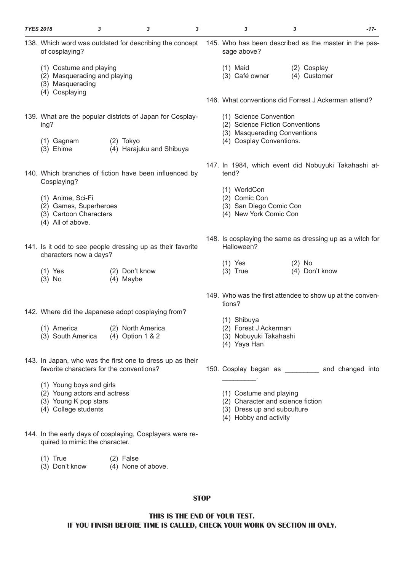| <b>TYES 2018</b> |                                                                                                           | 3 | 3                                     | 3 |                                                                         | 3                                                                                                                     | 3                           |                | $-17-$ |  |  |
|------------------|-----------------------------------------------------------------------------------------------------------|---|---------------------------------------|---|-------------------------------------------------------------------------|-----------------------------------------------------------------------------------------------------------------------|-----------------------------|----------------|--------|--|--|
|                  | 138. Which word was outdated for describing the concept<br>of cosplaying?                                 |   |                                       |   |                                                                         | 145. Who has been described as the master in the pas-<br>sage above?                                                  |                             |                |        |  |  |
|                  | (1) Costume and playing<br>(2) Masquerading and playing<br>(3) Masquerading<br>(4) Cosplaying             |   |                                       |   |                                                                         | $(1)$ Maid<br>(3) Café owner                                                                                          | (2) Cosplay<br>(4) Customer |                |        |  |  |
|                  |                                                                                                           |   |                                       |   |                                                                         | 146. What conventions did Forrest J Ackerman attend?                                                                  |                             |                |        |  |  |
|                  | 139. What are the popular districts of Japan for Cosplay-<br>ing?                                         |   |                                       |   |                                                                         | (1) Science Convention<br>(2) Science Fiction Conventions                                                             |                             |                |        |  |  |
|                  | $(1)$ Gagnam<br>(3) Ehime                                                                                 |   | (2) Tokyo<br>(4) Harajuku and Shibuya |   | (3) Masquerading Conventions<br>(4) Cosplay Conventions.                |                                                                                                                       |                             |                |        |  |  |
|                  | 140. Which branches of fiction have been influenced by<br>Cosplaying?                                     |   |                                       |   |                                                                         | 147. In 1984, which event did Nobuyuki Takahashi at-<br>tend?                                                         |                             |                |        |  |  |
|                  | (1) Anime, Sci-Fi<br>(2) Games, Superheroes<br>(3) Cartoon Characters<br>(4) All of above.                |   |                                       |   |                                                                         | (1) WorldCon<br>(2) Comic Con<br>(3) San Diego Comic Con<br>(4) New York Comic Con                                    |                             |                |        |  |  |
|                  | 141. Is it odd to see people dressing up as their favorite<br>characters now a days?                      |   |                                       |   | 148. Is cosplaying the same as dressing up as a witch for<br>Halloween? |                                                                                                                       |                             |                |        |  |  |
|                  | $(1)$ Yes<br>$(3)$ No                                                                                     |   | (2) Don't know<br>(4) Maybe           |   |                                                                         | $(1)$ Yes<br>$(3)$ True                                                                                               | $(2)$ No                    | (4) Don't know |        |  |  |
|                  |                                                                                                           |   |                                       |   |                                                                         | 149. Who was the first attendee to show up at the conven-<br>tions?                                                   |                             |                |        |  |  |
|                  | 142. Where did the Japanese adopt cosplaying from?                                                        |   |                                       |   |                                                                         |                                                                                                                       |                             |                |        |  |  |
|                  | (1) America<br>(3) South America                                                                          |   | (2) North America<br>(4) Option 1 & 2 |   |                                                                         | (1) Shibuya<br>(2) Forest J Ackerman<br>(3) Nobuyuki Takahashi<br>(4) Yaya Han                                        |                             |                |        |  |  |
|                  | 143. In Japan, who was the first one to dress up as their<br>favorite characters for the conventions?     |   |                                       |   |                                                                         | 150. Cosplay began as ___________ and changed into                                                                    |                             |                |        |  |  |
|                  | (1) Young boys and girls<br>(2) Young actors and actress<br>(3) Young K pop stars<br>(4) College students |   |                                       |   |                                                                         | (1) Costume and playing<br>(2) Character and science fiction<br>(3) Dress up and subculture<br>(4) Hobby and activity |                             |                |        |  |  |

- 144. In the early days of cosplaying, Cosplayers were required to mimic the character.
	- (1) True (2) False
	- (3) Don't know  $(4)$  None of above.

**THIS IS THE END OF YOUR TEST. IF YOU FINISH BEFORE TIME IS CALLED, CHECK YOUR WORK ON SECTION III ONLY.**

## **STOP**